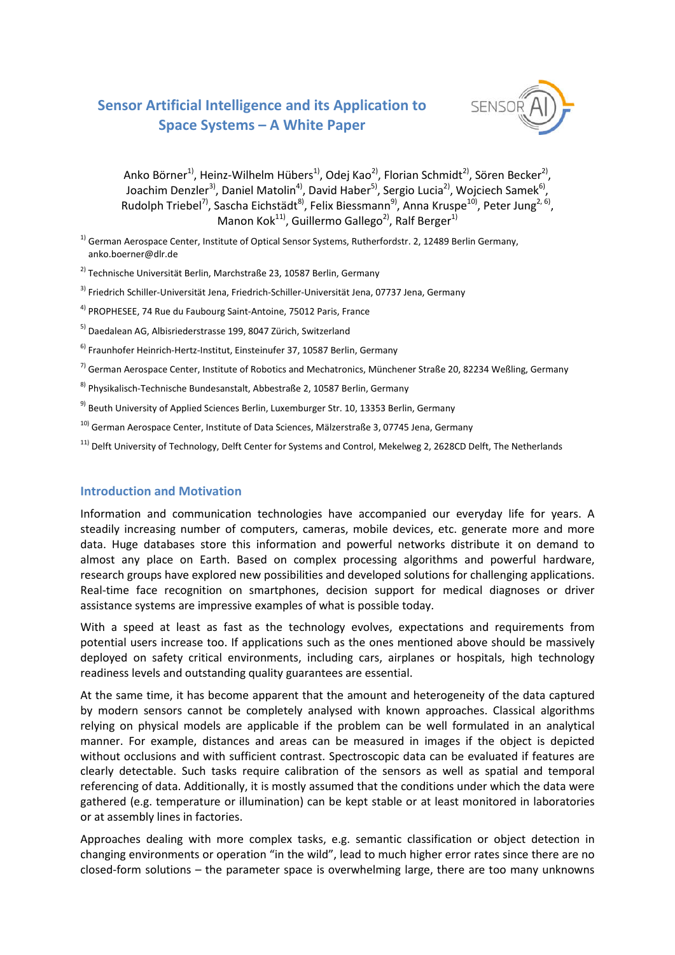# **Sensor Artificial Intelligence and its Application to Space Systems – A White Paper**



Anko Börner<sup>1)</sup>, Heinz-Wilhelm Hübers<sup>1)</sup>, Odej Kao<sup>2)</sup>, Florian Schmidt<sup>2)</sup>, Sören Becker<sup>2)</sup>, Joachim Denzler<sup>3)</sup>, Daniel Matolin<sup>4)</sup>, David Haber<sup>5)</sup>, Sergio Lucia<sup>2</sup>), Wojciech Samek<sup>6)</sup>, Rudolph Triebel<sup>7)</sup>, Sascha Eichstädt<sup>8)</sup>, Felix Biessmann<sup>9)</sup>, Anna Kruspe<sup>10)</sup>, Peter Jung<sup>2, 6)</sup>, Manon Kok<sup>11)</sup>, Guillermo Gallego<sup>2)</sup>, Ralf Berger<sup>1)</sup>

<sup>1)</sup> German Aerospace Center, Institute of Optical Sensor Systems, Rutherfordstr. 2, 12489 Berlin Germany, anko.boerner@dlr.de

<sup>2)</sup> Technische Universität Berlin, Marchstraße 23, 10587 Berlin, Germany

<sup>3)</sup> Friedrich Schiller-Universität Jena, Friedrich-Schiller-Universität Jena, 07737 Jena, Germany

4) PROPHESEE, 74 Rue du Faubourg Saint-Antoine, 75012 Paris, France

<sup>5)</sup> Daedalean AG, Albisriederstrasse 199, 8047 Zürich, Switzerland

6) Fraunhofer Heinrich-Hertz-Institut, Einsteinufer 37, 10587 Berlin, Germany

 $^{7)}$  German Aerospace Center, Institute of Robotics and Mechatronics, Münchener Straße 20, 82234 Weßling, Germany

<sup>8)</sup> Physikalisch-Technische Bundesanstalt, Abbestraße 2, 10587 Berlin, Germany

<sup>9)</sup> Beuth University of Applied Sciences Berlin, Luxemburger Str. 10, 13353 Berlin, Germany

10) German Aerospace Center, Institute of Data Sciences, Mälzerstraße 3, 07745 Jena, Germany

<sup>11)</sup> Delft University of Technology, Delft Center for Systems and Control, Mekelweg 2, 2628CD Delft, The Netherlands

### **Introduction and Motivation**

Information and communication technologies have accompanied our everyday life for years. A steadily increasing number of computers, cameras, mobile devices, etc. generate more and more data. Huge databases store this information and powerful networks distribute it on demand to almost any place on Earth. Based on complex processing algorithms and powerful hardware, research groups have explored new possibilities and developed solutions for challenging applications. Real-time face recognition on smartphones, decision support for medical diagnoses or driver assistance systems are impressive examples of what is possible today.

With a speed at least as fast as the technology evolves, expectations and requirements from potential users increase too. If applications such as the ones mentioned above should be massively deployed on safety critical environments, including cars, airplanes or hospitals, high technology readiness levels and outstanding quality guarantees are essential.

At the same time, it has become apparent that the amount and heterogeneity of the data captured by modern sensors cannot be completely analysed with known approaches. Classical algorithms relying on physical models are applicable if the problem can be well formulated in an analytical manner. For example, distances and areas can be measured in images if the object is depicted without occlusions and with sufficient contrast. Spectroscopic data can be evaluated if features are clearly detectable. Such tasks require calibration of the sensors as well as spatial and temporal referencing of data. Additionally, it is mostly assumed that the conditions under which the data were gathered (e.g. temperature or illumination) can be kept stable or at least monitored in laboratories or at assembly lines in factories.

Approaches dealing with more complex tasks, e.g. semantic classification or object detection in changing environments or operation "in the wild", lead to much higher error rates since there are no closed-form solutions – the parameter space is overwhelming large, there are too many unknowns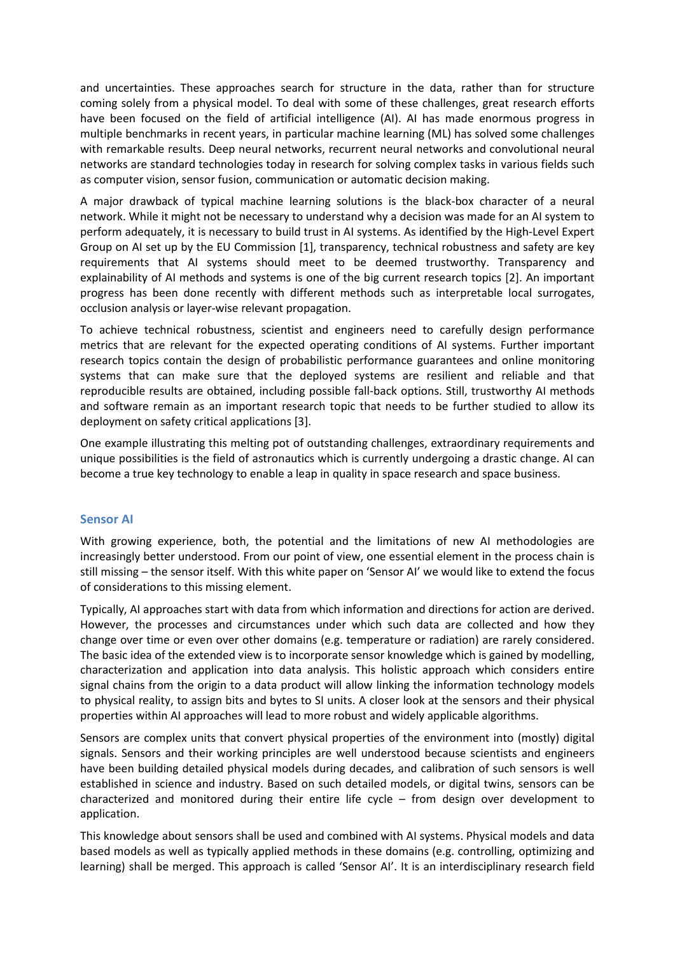and uncertainties. These approaches search for structure in the data, rather than for structure coming solely from a physical model. To deal with some of these challenges, great research efforts have been focused on the field of artificial intelligence (AI). AI has made enormous progress in multiple benchmarks in recent years, in particular machine learning (ML) has solved some challenges with remarkable results. Deep neural networks, recurrent neural networks and convolutional neural networks are standard technologies today in research for solving complex tasks in various fields such as computer vision, sensor fusion, communication or automatic decision making.

A major drawback of typical machine learning solutions is the black-box character of a neural network. While it might not be necessary to understand why a decision was made for an AI system to perform adequately, it is necessary to build trust in AI systems. As identified by the High-Level Expert Group on AI set up by the EU Commission [1], transparency, technical robustness and safety are key requirements that AI systems should meet to be deemed trustworthy. Transparency and explainability of AI methods and systems is one of the big current research topics [2]. An important progress has been done recently with different methods such as interpretable local surrogates, occlusion analysis or layer-wise relevant propagation.

To achieve technical robustness, scientist and engineers need to carefully design performance metrics that are relevant for the expected operating conditions of AI systems. Further important research topics contain the design of probabilistic performance guarantees and online monitoring systems that can make sure that the deployed systems are resilient and reliable and that reproducible results are obtained, including possible fall-back options. Still, trustworthy AI methods and software remain as an important research topic that needs to be further studied to allow its deployment on safety critical applications [3].

One example illustrating this melting pot of outstanding challenges, extraordinary requirements and unique possibilities is the field of astronautics which is currently undergoing a drastic change. AI can become a true key technology to enable a leap in quality in space research and space business.

#### **Sensor AI**

With growing experience, both, the potential and the limitations of new AI methodologies are increasingly better understood. From our point of view, one essential element in the process chain is still missing – the sensor itself. With this white paper on 'Sensor AI' we would like to extend the focus of considerations to this missing element.

Typically, AI approaches start with data from which information and directions for action are derived. However, the processes and circumstances under which such data are collected and how they change over time or even over other domains (e.g. temperature or radiation) are rarely considered. The basic idea of the extended view is to incorporate sensor knowledge which is gained by modelling, characterization and application into data analysis. This holistic approach which considers entire signal chains from the origin to a data product will allow linking the information technology models to physical reality, to assign bits and bytes to SI units. A closer look at the sensors and their physical properties within AI approaches will lead to more robust and widely applicable algorithms.

Sensors are complex units that convert physical properties of the environment into (mostly) digital signals. Sensors and their working principles are well understood because scientists and engineers have been building detailed physical models during decades, and calibration of such sensors is well established in science and industry. Based on such detailed models, or digital twins, sensors can be characterized and monitored during their entire life cycle – from design over development to application.

This knowledge about sensors shall be used and combined with AI systems. Physical models and data based models as well as typically applied methods in these domains (e.g. controlling, optimizing and learning) shall be merged. This approach is called 'Sensor AI'. It is an interdisciplinary research field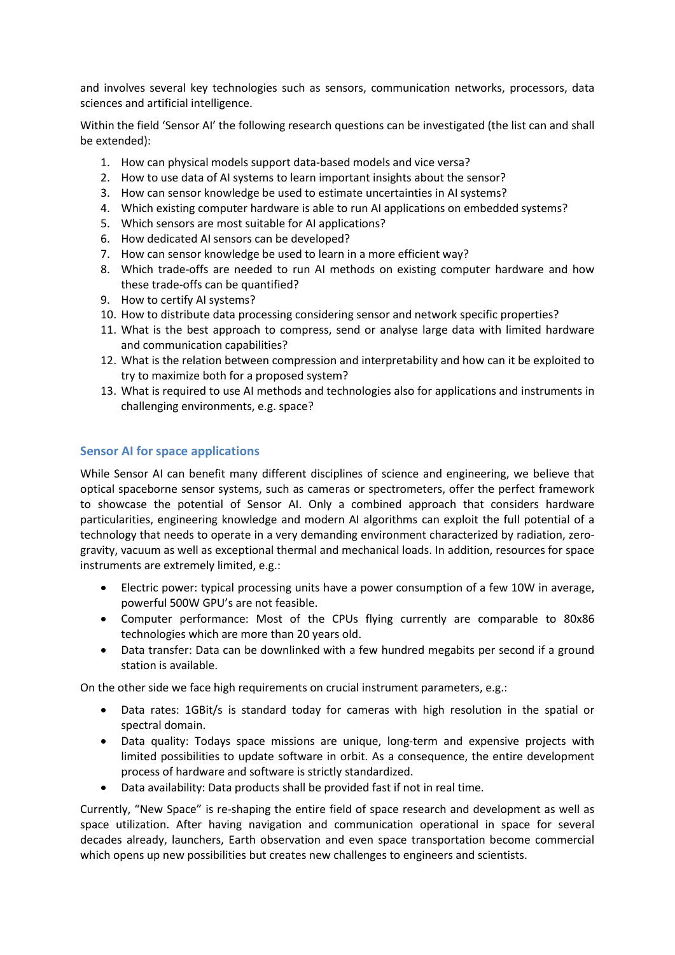and involves several key technologies such as sensors, communication networks, processors, data sciences and artificial intelligence.

Within the field 'Sensor AI' the following research questions can be investigated (the list can and shall be extended):

- 1. How can physical models support data-based models and vice versa?
- 2. How to use data of AI systems to learn important insights about the sensor?
- 3. How can sensor knowledge be used to estimate uncertainties in AI systems?
- 4. Which existing computer hardware is able to run AI applications on embedded systems?
- 5. Which sensors are most suitable for AI applications?
- 6. How dedicated AI sensors can be developed?
- 7. How can sensor knowledge be used to learn in a more efficient way?
- 8. Which trade-offs are needed to run AI methods on existing computer hardware and how these trade-offs can be quantified?
- 9. How to certify AI systems?
- 10. How to distribute data processing considering sensor and network specific properties?
- 11. What is the best approach to compress, send or analyse large data with limited hardware and communication capabilities?
- 12. What is the relation between compression and interpretability and how can it be exploited to try to maximize both for a proposed system?
- 13. What is required to use AI methods and technologies also for applications and instruments in challenging environments, e.g. space?

#### **Sensor AI for space applications**

While Sensor AI can benefit many different disciplines of science and engineering, we believe that optical spaceborne sensor systems, such as cameras or spectrometers, offer the perfect framework to showcase the potential of Sensor AI. Only a combined approach that considers hardware particularities, engineering knowledge and modern AI algorithms can exploit the full potential of a technology that needs to operate in a very demanding environment characterized by radiation, zerogravity, vacuum as well as exceptional thermal and mechanical loads. In addition, resources for space instruments are extremely limited, e.g.:

- Electric power: typical processing units have a power consumption of a few 10W in average, powerful 500W GPU's are not feasible.
- Computer performance: Most of the CPUs flying currently are comparable to 80x86 technologies which are more than 20 years old.
- Data transfer: Data can be downlinked with a few hundred megabits per second if a ground station is available.

On the other side we face high requirements on crucial instrument parameters, e.g.:

- Data rates: 1GBit/s is standard today for cameras with high resolution in the spatial or spectral domain.
- Data quality: Todays space missions are unique, long-term and expensive projects with limited possibilities to update software in orbit. As a consequence, the entire development process of hardware and software is strictly standardized.
- Data availability: Data products shall be provided fast if not in real time.

Currently, "New Space" is re-shaping the entire field of space research and development as well as space utilization. After having navigation and communication operational in space for several decades already, launchers, Earth observation and even space transportation become commercial which opens up new possibilities but creates new challenges to engineers and scientists.